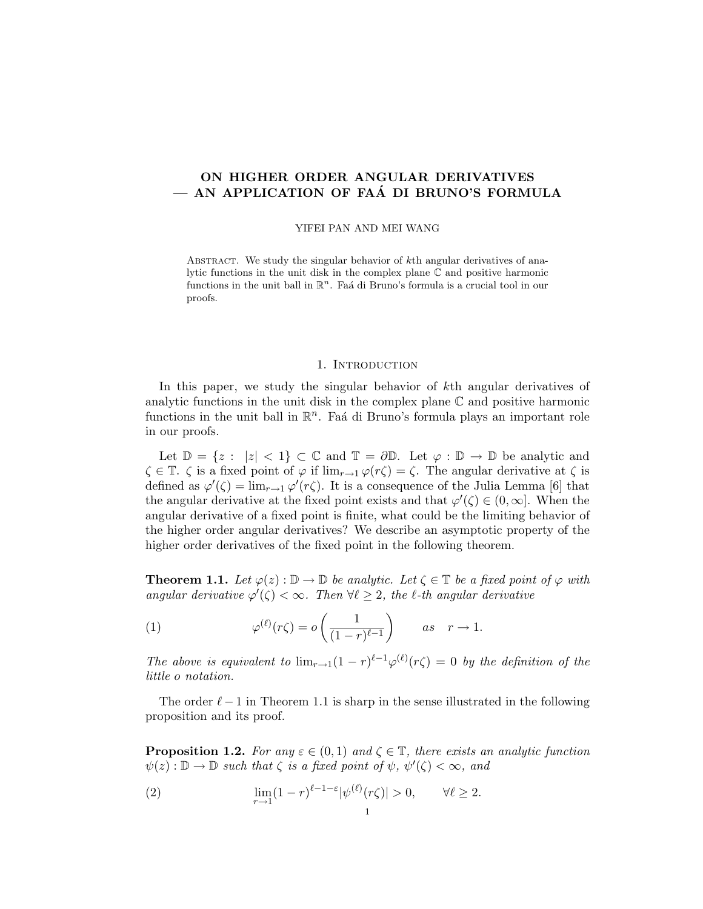# ON HIGHER ORDER ANGULAR DERIVATIVES - AN APPLICATION OF FAÁ DI BRUNO'S FORMULA

#### YIFEI PAN AND MEI WANG

ABSTRACT. We study the singular behavior of  $k<sup>th</sup>$  angular derivatives of analytic functions in the unit disk in the complex plane C and positive harmonic functions in the unit ball in  $\mathbb{R}^n$ . Faá di Bruno's formula is a crucial tool in our proofs.

#### 1. INTRODUCTION

In this paper, we study the singular behavior of kth angular derivatives of analytic functions in the unit disk in the complex plane  $\mathbb C$  and positive harmonic functions in the unit ball in  $\mathbb{R}^n$ . Faá di Bruno's formula plays an important role in our proofs.

Let  $\mathbb{D} = \{z : |z| < 1\} \subset \mathbb{C}$  and  $\mathbb{T} = \partial \mathbb{D}$ . Let  $\varphi : \mathbb{D} \to \mathbb{D}$  be analytic and  $\zeta \in \mathbb{T}$ .  $\zeta$  is a fixed point of  $\varphi$  if  $\lim_{r \to 1} \varphi(r\zeta) = \zeta$ . The angular derivative at  $\zeta$  is defined as  $\varphi'(\zeta) = \lim_{r \to 1} \varphi'(r\zeta)$ . It is a consequence of the Julia Lemma [6] that the angular derivative at the fixed point exists and that  $\varphi'(\zeta) \in (0,\infty]$ . When the angular derivative of a fixed point is finite, what could be the limiting behavior of the higher order angular derivatives? We describe an asymptotic property of the higher order derivatives of the fixed point in the following theorem.

**Theorem 1.1.** Let  $\varphi(z) : \mathbb{D} \to \mathbb{D}$  be analytic. Let  $\zeta \in \mathbb{T}$  be a fixed point of  $\varphi$  with angular derivative  $\varphi'(\zeta) < \infty$ . Then  $\forall \ell \geq 2$ , the  $\ell$ -th angular derivative

(1) 
$$
\varphi^{(\ell)}(r\zeta) = o\left(\frac{1}{(1-r)^{\ell-1}}\right) \qquad as \quad r \to 1.
$$

The above is equivalent to  $\lim_{r\to 1}(1-r)^{\ell-1}\varphi^{(\ell)}(r\zeta)=0$  by the definition of the little o notation.

The order  $\ell - 1$  in Theorem 1.1 is sharp in the sense illustrated in the following proposition and its proof.

**Proposition 1.2.** For any  $\varepsilon \in (0,1)$  and  $\zeta \in \mathbb{T}$ , there exists an analytic function  $\psi(z): \mathbb{D} \to \mathbb{D}$  such that  $\zeta$  is a fixed point of  $\psi, \psi'(\zeta) < \infty$ , and

(2) 
$$
\lim_{r \to 1} (1-r)^{\ell-1-\varepsilon} |\psi^{(\ell)}(r\zeta)| > 0, \qquad \forall \ell \ge 2.
$$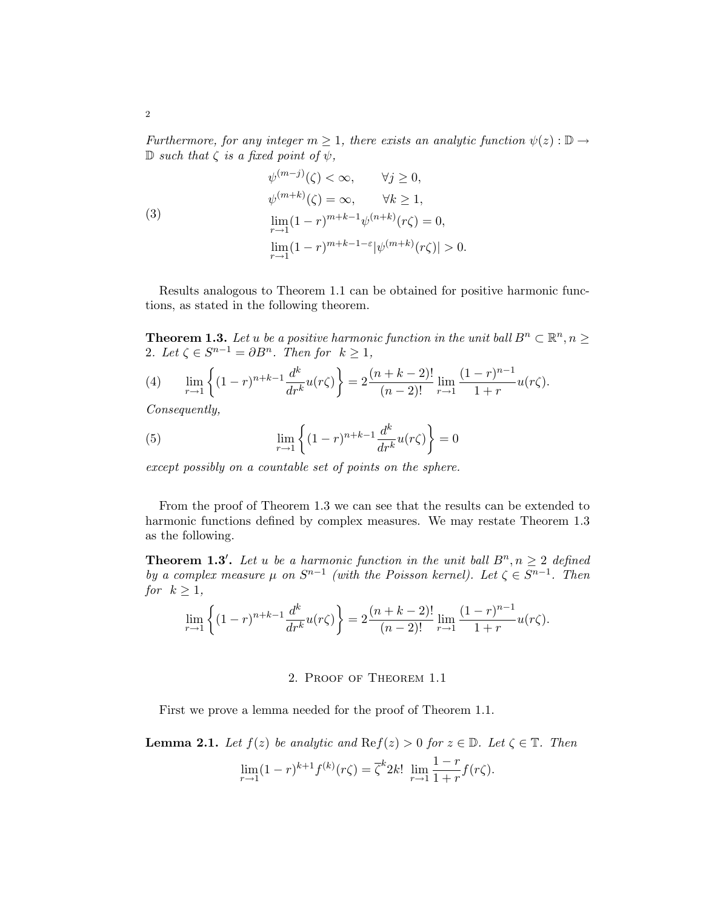Furthermore, for any integer  $m \geq 1$ , there exists an analytic function  $\psi(z): \mathbb{D} \to$  $\mathbb D$  such that  $\zeta$  is a fixed point of  $\psi$ ,

(3)  
\n
$$
\psi^{(m-j)}(\zeta) < \infty, \qquad \forall j \ge 0,
$$
\n
$$
\psi^{(m+k)}(\zeta) = \infty, \qquad \forall k \ge 1,
$$
\n
$$
\lim_{r \to 1} (1-r)^{m+k-1} \psi^{(n+k)}(r\zeta) = 0,
$$
\n
$$
\lim_{r \to 1} (1-r)^{m+k-1-\varepsilon} |\psi^{(m+k)}(r\zeta)| > 0.
$$

Results analogous to Theorem 1.1 can be obtained for positive harmonic functions, as stated in the following theorem.

**Theorem 1.3.** Let u be a positive harmonic function in the unit ball  $B^n \subset \mathbb{R}^n, n \geq 0$ 2. Let  $\zeta \in S^{n-1} = \partial B^n$ . Then for  $k \geq 1$ ,

(4) 
$$
\lim_{r \to 1} \left\{ (1-r)^{n+k-1} \frac{d^k}{dr^k} u(r\zeta) \right\} = 2 \frac{(n+k-2)!}{(n-2)!} \lim_{r \to 1} \frac{(1-r)^{n-1}}{1+r} u(r\zeta).
$$

Consequently,

(5) 
$$
\lim_{r \to 1} \left\{ (1-r)^{n+k-1} \frac{d^k}{dr^k} u(r\zeta) \right\} = 0
$$

except possibly on a countable set of points on the sphere.

From the proof of Theorem 1.3 we can see that the results can be extended to harmonic functions defined by complex measures. We may restate Theorem 1.3 as the following.

**Theorem 1.3'.** Let u be a harmonic function in the unit ball  $B^n, n \geq 2$  defined by a complex measure  $\mu$  on  $S^{n-1}$  (with the Poisson kernel). Let  $\zeta \in S^{n-1}$ . Then for  $k \geq 1$ ,

$$
\lim_{r \to 1} \left\{ (1-r)^{n+k-1} \frac{d^k}{dr^k} u(r\zeta) \right\} = 2 \frac{(n+k-2)!}{(n-2)!} \lim_{r \to 1} \frac{(1-r)^{n-1}}{1+r} u(r\zeta).
$$

## 2. Proof of Theorem 1.1

First we prove a lemma needed for the proof of Theorem 1.1.

**Lemma 2.1.** Let  $f(z)$  be analytic and  $\text{Re } f(z) > 0$  for  $z \in \mathbb{D}$ . Let  $\zeta \in \mathbb{T}$ . Then

$$
\lim_{r \to 1} (1-r)^{k+1} f^{(k)}(r\zeta) = \overline{\zeta}^k 2k! \lim_{r \to 1} \frac{1-r}{1+r} f(r\zeta).
$$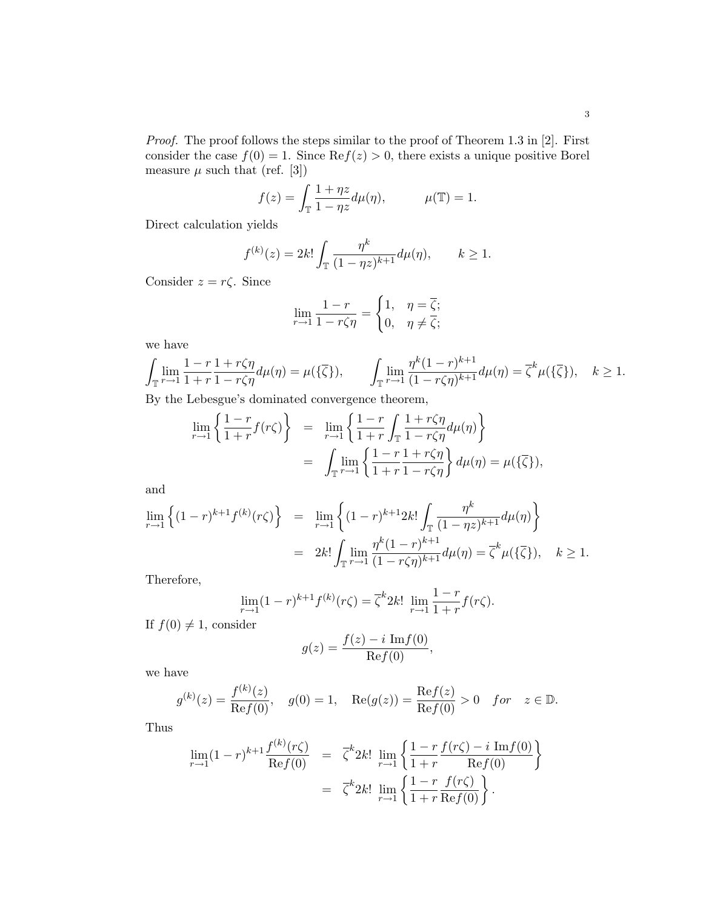Proof. The proof follows the steps similar to the proof of Theorem 1.3 in [2]. First consider the case  $f(0) = 1$ . Since  $\text{Re} f(z) > 0$ , there exists a unique positive Borel measure  $\mu$  such that (ref. [3])

$$
f(z) = \int_{\mathbb{T}} \frac{1 + \eta z}{1 - \eta z} d\mu(\eta), \qquad \mu(\mathbb{T}) = 1.
$$

Direct calculation yields

$$
f^{(k)}(z) = 2k! \int_{\mathbb{T}} \frac{\eta^k}{(1 - \eta z)^{k+1}} d\mu(\eta), \qquad k \ge 1.
$$

Consider  $z = r\zeta$ . Since

$$
\lim_{r \to 1} \frac{1 - r}{1 - r\zeta\eta} = \begin{cases} 1, & \eta = \overline{\zeta}; \\ 0, & \eta \neq \overline{\zeta}; \end{cases}
$$

we have

$$
\int_{\mathbb{T}} \lim_{r \to 1} \frac{1 - r}{1 + r} \frac{1 + r\zeta\eta}{1 - r\zeta\eta} d\mu(\eta) = \mu(\{\overline{\zeta}\}), \qquad \int_{\mathbb{T}} \lim_{r \to 1} \frac{\eta^k (1 - r)^{k+1}}{(1 - r\zeta\eta)^{k+1}} d\mu(\eta) = \overline{\zeta}^k \mu(\{\overline{\zeta}\}), \quad k \ge 1.
$$

By the Lebesgue's dominated convergence theorem,

$$
\lim_{r \to 1} \left\{ \frac{1 - r}{1 + r} f(r\zeta) \right\} = \lim_{r \to 1} \left\{ \frac{1 - r}{1 + r} \int_{\mathbb{T}} \frac{1 + r\zeta \eta}{1 - r\zeta \eta} d\mu(\eta) \right\}
$$
\n
$$
= \int_{\mathbb{T}} \lim_{r \to 1} \left\{ \frac{1 - r}{1 + r} \frac{1 + r\zeta \eta}{1 - r\zeta \eta} \right\} d\mu(\eta) = \mu(\{\overline{\zeta}\}),
$$

and

$$
\lim_{r \to 1} \left\{ (1-r)^{k+1} f^{(k)}(r\zeta) \right\} = \lim_{r \to 1} \left\{ (1-r)^{k+1} 2k! \int_{\mathbb{T}} \frac{\eta^k}{(1-\eta z)^{k+1}} d\mu(\eta) \right\}
$$

$$
= 2k! \int_{\mathbb{T}} \lim_{r \to 1} \frac{\eta^k (1-r)^{k+1}}{(1-r\zeta\eta)^{k+1}} d\mu(\eta) = \overline{\zeta}^k \mu(\{\overline{\zeta}\}), \quad k \ge 1.
$$

Therefore,

$$
\lim_{r \to 1} (1-r)^{k+1} f^{(k)}(r\zeta) = \overline{\zeta}^k 2k! \lim_{r \to 1} \frac{1-r}{1+r} f(r\zeta).
$$

If  $f(0) \neq 1$ , consider

$$
g(z) = \frac{f(z) - i \operatorname{Im} f(0)}{\operatorname{Re} f(0)},
$$

we have

$$
g^{(k)}(z) = \frac{f^{(k)}(z)}{\text{Re}f(0)}, \quad g(0) = 1, \quad \text{Re}(g(z)) = \frac{\text{Re}f(z)}{\text{Re}f(0)} > 0 \quad \text{for} \quad z \in \mathbb{D}.
$$

Thus

$$
\lim_{r \to 1} (1 - r)^{k+1} \frac{f^{(k)}(r\zeta)}{\text{Re} f(0)} = \overline{\zeta}^k 2k! \lim_{r \to 1} \left\{ \frac{1 - r}{1 + r} \frac{f(r\zeta) - i \text{ Im} f(0)}{\text{Re} f(0)} \right\} \n= \overline{\zeta}^k 2k! \lim_{r \to 1} \left\{ \frac{1 - r}{1 + r} \frac{f(r\zeta)}{\text{Re} f(0)} \right\}.
$$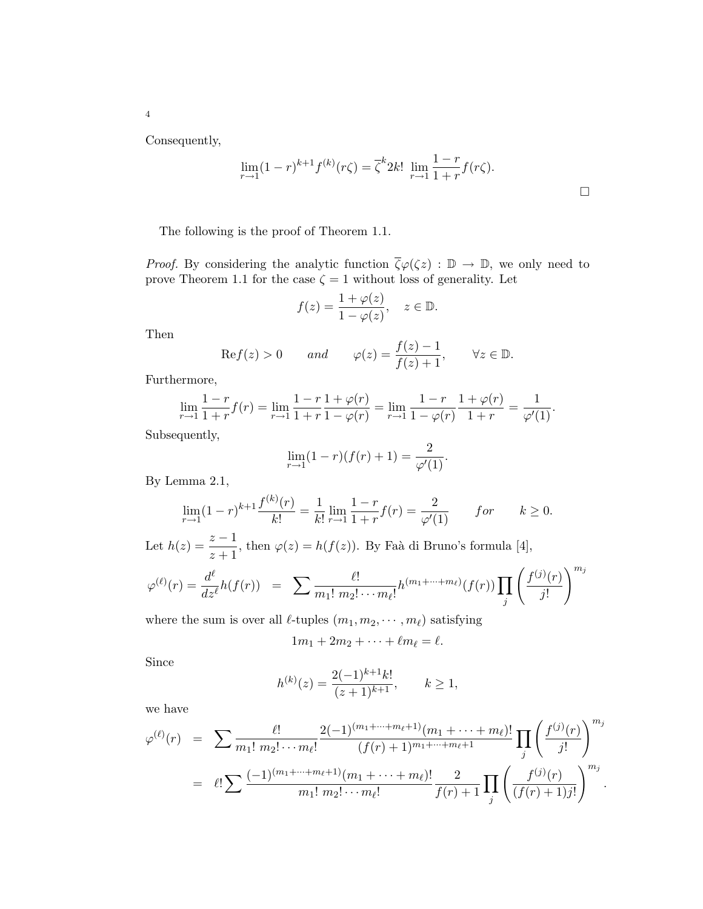Consequently,

4

$$
\lim_{r \to 1} (1 - r)^{k+1} f^{(k)}(r\zeta) = \overline{\zeta}^k 2k! \lim_{r \to 1} \frac{1 - r}{1 + r} f(r\zeta).
$$

The following is the proof of Theorem 1.1.

*Proof.* By considering the analytic function  $\overline{\zeta}\varphi(\zeta z) : \mathbb{D} \to \mathbb{D}$ , we only need to prove Theorem 1.1 for the case  $\zeta = 1$  without loss of generality. Let

$$
f(z) = \frac{1 + \varphi(z)}{1 - \varphi(z)}, \quad z \in \mathbb{D}.
$$

Then

$$
\text{Re} f(z) > 0 \qquad \text{and} \qquad \varphi(z) = \frac{f(z) - 1}{f(z) + 1}, \qquad \forall z \in \mathbb{D}.
$$

Furthermore,

$$
\lim_{r \to 1} \frac{1-r}{1+r} f(r) = \lim_{r \to 1} \frac{1-r}{1+r} \frac{1+\varphi(r)}{1-\varphi(r)} = \lim_{r \to 1} \frac{1-r}{1-\varphi(r)} \frac{1+\varphi(r)}{1+r} = \frac{1}{\varphi'(1)}.
$$

Subsequently,

$$
\lim_{r \to 1} (1 - r)(f(r) + 1) = \frac{2}{\varphi'(1)}.
$$

By Lemma 2.1,

$$
\lim_{r \to 1} (1-r)^{k+1} \frac{f^{(k)}(r)}{k!} = \frac{1}{k!} \lim_{r \to 1} \frac{1-r}{1+r} f(r) = \frac{2}{\varphi'(1)} \qquad for \qquad k \ge 0.
$$

Let  $h(z) = \frac{z-1}{z+1}$ , then  $\varphi(z) = h(f(z))$ . By Faà di Bruno's formula [4],  $\overline{a}$ 

$$
\varphi^{(\ell)}(r) = \frac{d^{\ell}}{dz^{\ell}} h(f(r)) = \sum \frac{\ell!}{m_1! \; m_2! \cdots m_{\ell}!} h^{(m_1 + \cdots + m_{\ell})}(f(r)) \prod_j \left( \frac{f^{(j)}(r)}{j!} \right)^{m_j}
$$

where the sum is over all  $\ell$ -tuples  $(m_1, m_2, \dots, m_\ell)$  satisfying

$$
1m_1+2m_2+\cdots+\ell m_\ell=\ell.
$$

Since

$$
h^{(k)}(z) = \frac{2(-1)^{k+1}k!}{(z+1)^{k+1}}, \qquad k \ge 1,
$$

we have

$$
\varphi^{(\ell)}(r) = \sum \frac{\ell!}{m_1! \, m_2! \cdots m_\ell!} \frac{2(-1)^{(m_1 + \cdots + m_\ell+1)}(m_1 + \cdots + m_\ell)!}{(f(r) + 1)^{m_1 + \cdots + m_\ell+1}} \prod_j \left(\frac{f^{(j)}(r)}{j!}\right)^{m_j}
$$
  
= 
$$
\ell! \sum \frac{(-1)^{(m_1 + \cdots + m_\ell+1)}(m_1 + \cdots + m_\ell)!}{m_1! \, m_2! \cdots m_\ell!} \frac{2}{f(r) + 1} \prod_j \left(\frac{f^{(j)}(r)}{(f(r) + 1)j!}\right)^{m_j}.
$$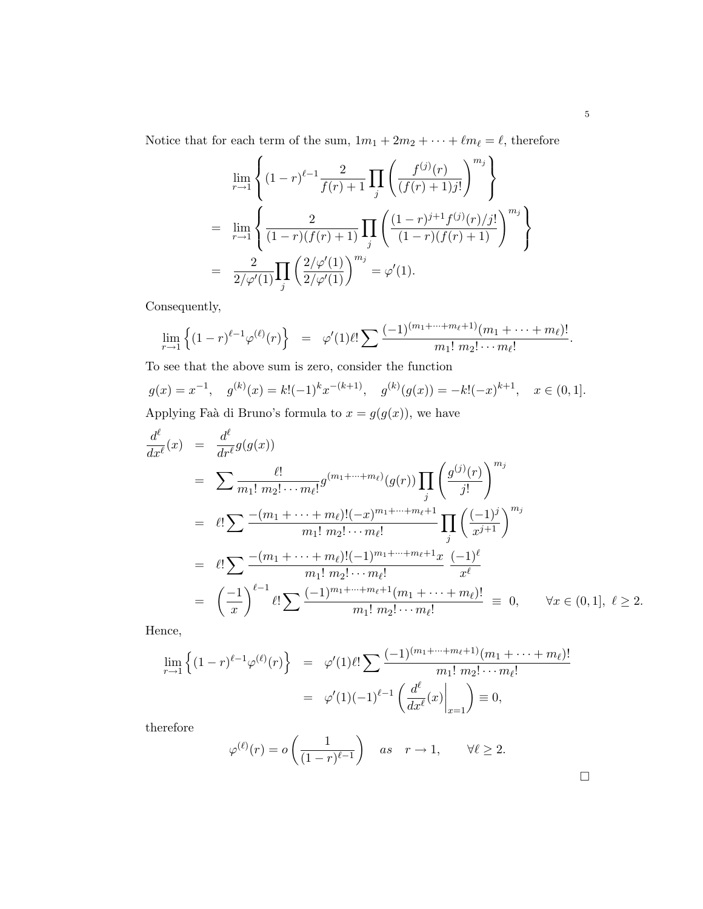Notice that for each term of the sum,  $1m_1 + 2m_2 + \cdots + \ell m_\ell = \ell$ , therefore

$$
\lim_{r \to 1} \left\{ (1-r)^{\ell-1} \frac{2}{f(r)+1} \prod_{j} \left( \frac{f^{(j)}(r)}{(f(r)+1)j!} \right)^{m_j} \right\}
$$
\n
$$
= \lim_{r \to 1} \left\{ \frac{2}{(1-r)(f(r)+1)} \prod_{j} \left( \frac{(1-r)^{j+1}f^{(j)}(r)/j!}{(1-r)(f(r)+1)} \right)^{m_j} \right\}
$$
\n
$$
= \frac{2}{2/\varphi'(1)} \prod_{j} \left( \frac{2/\varphi'(1)}{2/\varphi'(1)} \right)^{m_j} = \varphi'(1).
$$

Consequently,

$$
\lim_{r \to 1} \left\{ (1-r)^{\ell-1} \varphi^{(\ell)}(r) \right\} = \varphi'(1) \ell! \sum \frac{(-1)^{(m_1 + \dots + m_{\ell} + 1)}(m_1 + \dots + m_{\ell})!}{m_1! \ m_2! \cdots m_{\ell}!}.
$$

To see that the above sum is zero, consider the function

$$
g(x) = x^{-1}, \quad g^{(k)}(x) = k!(-1)^k x^{-(k+1)}, \quad g^{(k)}(g(x)) = -k!(-x)^{k+1}, \quad x \in (0, 1].
$$

Applying Faà di Bruno's formula to  $x = g(g(x))$ , we have

$$
\frac{d^{\ell}}{dx^{\ell}}(x) = \frac{d^{\ell}}{dr^{\ell}}g(g(x))
$$
\n
$$
= \sum \frac{\ell!}{m_1! \, m_2! \cdots m_{\ell}!} g^{(m_1 + \cdots + m_{\ell})}(g(r)) \prod_j \left(\frac{g^{(j)}(r)}{j!}\right)^{m_j}
$$
\n
$$
= \ell! \sum \frac{-(m_1 + \cdots + m_{\ell})!(-x)^{m_1 + \cdots + m_{\ell}+1}}{m_1! \, m_2! \cdots m_{\ell}!} \prod_j \left(\frac{(-1)^j}{x^{j+1}}\right)^{m_j}
$$
\n
$$
= \ell! \sum \frac{-(m_1 + \cdots + m_{\ell})!(-1)^{m_1 + \cdots + m_{\ell}+1}x}{m_1! \, m_2! \cdots m_{\ell}!} \frac{(-1)^{\ell}}{x^{\ell}}
$$
\n
$$
= \left(\frac{-1}{x}\right)^{\ell-1} \ell! \sum \frac{(-1)^{m_1 + \cdots + m_{\ell}+1}(m_1 + \cdots + m_{\ell})!}{m_1! \, m_2! \cdots m_{\ell}!} \equiv 0, \qquad \forall x \in (0, 1], \ \ell \ge 2.
$$

Hence,

$$
\lim_{r \to 1} \left\{ (1-r)^{\ell-1} \varphi^{(\ell)}(r) \right\} = \varphi'(1) \ell! \sum \frac{(-1)^{(m_1 + \dots + m_{\ell} + 1)} (m_1 + \dots + m_{\ell})!}{m_1! \ m_2! \dots m_{\ell}!}
$$

$$
= \varphi'(1) (-1)^{\ell-1} \left( \frac{d^{\ell}}{dx^{\ell}}(x) \Big|_{x=1} \right) \equiv 0,
$$

therefore

$$
\varphi^{(\ell)}(r) = o\left(\frac{1}{(1-r)^{\ell-1}}\right)
$$
 as  $r \to 1$ ,  $\forall \ell \ge 2$ .

 $\Box$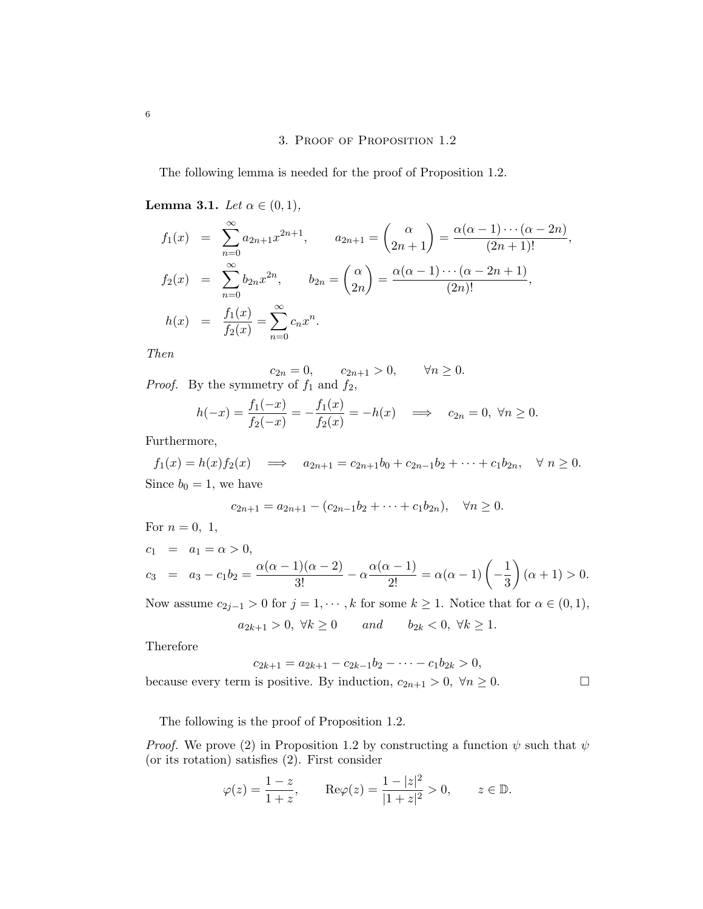## 3. Proof of Proposition 1.2

The following lemma is needed for the proof of Proposition 1.2.

Lemma 3.1. Let  $\alpha \in (0,1)$ ,

$$
f_1(x) = \sum_{n=0}^{\infty} a_{2n+1} x^{2n+1}, \qquad a_{2n+1} = \binom{\alpha}{2n+1} = \frac{\alpha(\alpha-1)\cdots(\alpha-2n)}{(2n+1)!},
$$
  
\n
$$
f_2(x) = \sum_{n=0}^{\infty} b_{2n} x^{2n}, \qquad b_{2n} = \binom{\alpha}{2n} = \frac{\alpha(\alpha-1)\cdots(\alpha-2n+1)}{(2n)!},
$$
  
\n
$$
h(x) = \frac{f_1(x)}{f_2(x)} = \sum_{n=0}^{\infty} c_n x^n.
$$

Then

 $c_{2n} = 0,$   $c_{2n+1} > 0,$   $\forall n \ge 0.$ *Proof.* By the symmetry of  $f_1$  and  $f_2$ ,

$$
h(-x) = \frac{f_1(-x)}{f_2(-x)} = -\frac{f_1(x)}{f_2(x)} = -h(x) \implies c_{2n} = 0, \ \forall n \ge 0.
$$

Furthermore,

 $f_1(x) = h(x)f_2(x) \implies a_{2n+1} = c_{2n+1}b_0 + c_{2n-1}b_2 + \cdots + c_1b_{2n}, \quad \forall n \ge 0.$ Since  $b_0 = 1$ , we have

$$
c_{2n+1} = a_{2n+1} - (c_{2n-1}b_2 + \dots + c_1b_{2n}), \quad \forall n \ge 0.
$$

For 
$$
n = 0, 1
$$
,  
\n $c_1 = a_1 = \alpha > 0$ ,  
\n $c_3 = a_3 - c_1 b_2 = \frac{\alpha(\alpha - 1)(\alpha - 2)}{3!} - \alpha \frac{\alpha(\alpha - 1)}{2!} = \alpha(\alpha - 1) \left(-\frac{1}{3}\right)(\alpha + 1) > 0$ .  
\nNow assume  $c_3 = 0$  for  $i = 1, \ldots, k$  for some  $k > 1$ . Notice that for  $c \in (0, 1)$ .

Now assume  $c_{2j-1} > 0$  for  $j = 1, \dots, k$  for some  $k \ge 1$ . Notice that for  $\alpha \in (0, 1)$ ,

$$
a_{2k+1} > 0, \ \forall k \ge 0 \qquad and \qquad b_{2k} < 0, \ \forall k \ge 1.
$$

Therefore

$$
c_{2k+1} = a_{2k+1} - c_{2k-1}b_2 - \dots - c_1b_{2k} > 0,
$$
  
because every term is positive. By induction,  $c_{2n+1} > 0$ ,  $\forall n \ge 0$ .

The following is the proof of Proposition 1.2.

*Proof.* We prove (2) in Proposition 1.2 by constructing a function  $\psi$  such that  $\psi$ (or its rotation) satisfies (2). First consider

$$
\varphi(z) = \frac{1-z}{1+z}
$$
,  $\text{Re}\varphi(z) = \frac{1-|z|^2}{|1+z|^2} > 0$ ,  $z \in \mathbb{D}$ .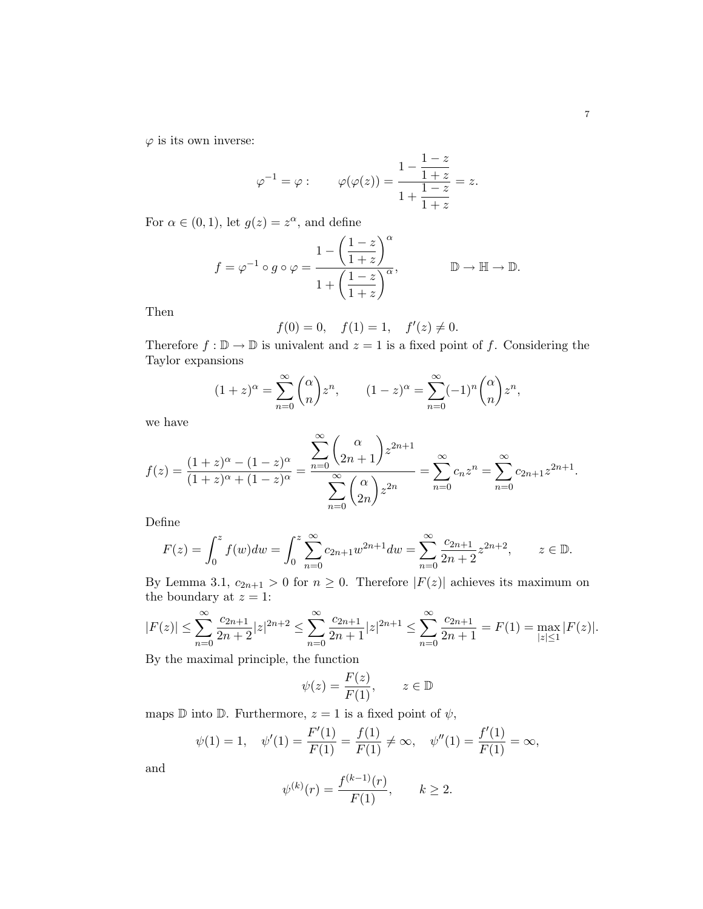$\varphi$  is its own inverse:

$$
\varphi^{-1} = \varphi
$$
:  $\varphi(\varphi(z)) = \frac{1 - \frac{1 - z}{1 + z}}{1 + \frac{1 - z}{1 + z}} = z.$ 

For  $\alpha \in (0,1)$ , let  $g(z) = z^{\alpha}$ , and define

$$
f = \varphi^{-1} \circ g \circ \varphi = \frac{1 - \left(\frac{1-z}{1+z}\right)^{\alpha}}{1 + \left(\frac{1-z}{1+z}\right)^{\alpha}}, \qquad \mathbb{D} \to \mathbb{H} \to \mathbb{D}.
$$

Then

$$
f(0) = 0
$$
,  $f(1) = 1$ ,  $f'(z) \neq 0$ .

Therefore  $f : \mathbb{D} \to \mathbb{D}$  is univalent and  $z = 1$  is a fixed point of f. Considering the Taylor expansions

$$
(1+z)^{\alpha} = \sum_{n=0}^{\infty} {\alpha \choose n} z^n, \qquad (1-z)^{\alpha} = \sum_{n=0}^{\infty} (-1)^n {\alpha \choose n} z^n,
$$

we have

$$
f(z) = \frac{(1+z)^{\alpha} - (1-z)^{\alpha}}{(1+z)^{\alpha} + (1-z)^{\alpha}} = \frac{\sum_{n=0}^{\infty} {(\alpha \choose 2n+1} z^{2n+1}}{\sum_{n=0}^{\infty} {(\alpha \choose 2n} z^{2n}} = \sum_{n=0}^{\infty} c_n z^n = \sum_{n=0}^{\infty} c_{2n+1} z^{2n+1}.
$$

Define

$$
F(z) = \int_0^z f(w)dw = \int_0^z \sum_{n=0}^\infty c_{2n+1}w^{2n+1}dw = \sum_{n=0}^\infty \frac{c_{2n+1}}{2n+2}z^{2n+2}, \qquad z \in \mathbb{D}.
$$

By Lemma 3.1,  $c_{2n+1} > 0$  for  $n \geq 0$ . Therefore  $|F(z)|$  achieves its maximum on the boundary at  $z = 1$ :

$$
|F(z)| \le \sum_{n=0}^{\infty} \frac{c_{2n+1}}{2n+2} |z|^{2n+2} \le \sum_{n=0}^{\infty} \frac{c_{2n+1}}{2n+1} |z|^{2n+1} \le \sum_{n=0}^{\infty} \frac{c_{2n+1}}{2n+1} = F(1) = \max_{|z| \le 1} |F(z)|.
$$

By the maximal principle, the function

$$
\psi(z) = \frac{F(z)}{F(1)}, \qquad z \in \mathbb{D}
$$

maps  $\mathbb D$  into  $\mathbb D$ . Furthermore,  $z = 1$  is a fixed point of  $\psi$ ,

$$
\psi(1) = 1, \quad \psi'(1) = \frac{F'(1)}{F(1)} = \frac{f(1)}{F(1)} \neq \infty, \quad \psi''(1) = \frac{f'(1)}{F(1)} = \infty,
$$

and

$$
\psi^{(k)}(r) = \frac{f^{(k-1)}(r)}{F(1)}, \qquad k \ge 2.
$$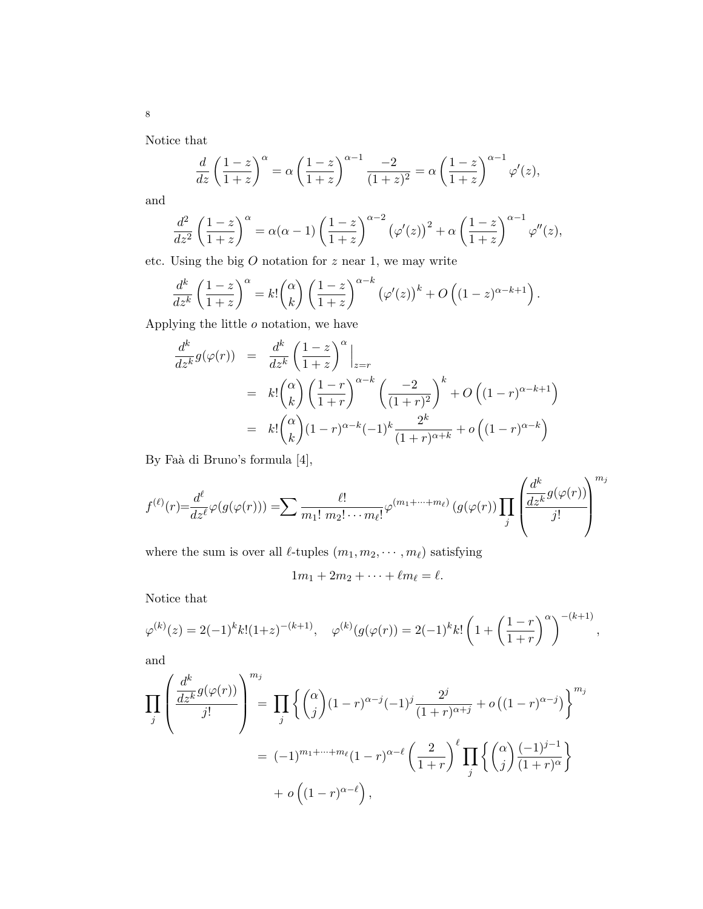Notice that

$$
\frac{d}{dz}\left(\frac{1-z}{1+z}\right)^{\alpha} = \alpha \left(\frac{1-z}{1+z}\right)^{\alpha-1} \frac{-2}{(1+z)^2} = \alpha \left(\frac{1-z}{1+z}\right)^{\alpha-1} \varphi'(z),
$$

and

$$
\frac{d^2}{dz^2} \left(\frac{1-z}{1+z}\right)^{\alpha} = \alpha(\alpha-1) \left(\frac{1-z}{1+z}\right)^{\alpha-2} \left(\varphi'(z)\right)^2 + \alpha \left(\frac{1-z}{1+z}\right)^{\alpha-1} \varphi''(z),
$$

etc. Using the big  $O$  notation for  $z$  near 1, we may write

$$
\frac{d^k}{dz^k} \left(\frac{1-z}{1+z}\right)^{\alpha} = k! \binom{\alpha}{k} \left(\frac{1-z}{1+z}\right)^{\alpha-k} \left(\varphi'(z)\right)^k + O\left((1-z)^{\alpha-k+1}\right).
$$

Applying the little  $o$  notation, we have

$$
\frac{d^k}{dz^k} g(\varphi(r)) = \frac{d^k}{dz^k} \left(\frac{1-z}{1+z}\right)^{\alpha} \Big|_{z=r}
$$
\n
$$
= k! \binom{\alpha}{k} \left(\frac{1-r}{1+r}\right)^{\alpha-k} \left(\frac{-2}{(1+r)^2}\right)^k + O\left((1-r)^{\alpha-k+1}\right)
$$
\n
$$
= k! \binom{\alpha}{k} (1-r)^{\alpha-k} (-1)^k \frac{2^k}{(1+r)^{\alpha+k}} + o\left((1-r)^{\alpha-k}\right)
$$

By Faà di Bruno's formula [4],

$$
f^{(\ell)}(r) = \frac{d^{\ell}}{dz^{\ell}} \varphi(g(\varphi(r))) = \sum \frac{\ell!}{m_1! \ m_2! \cdots m_{\ell}!} \varphi^{(m_1 + \cdots + m_{\ell})} (g(\varphi(r)) \prod_j \left( \frac{d^k}{dz^k} g(\varphi(r)) \right)^{m_j}
$$

where the sum is over all  $\ell\text{-tuples } (m_1, m_2, \cdots, m_\ell)$  satisfying

$$
1m_1+2m_2+\cdots+\ell m_\ell=\ell.
$$

Notice that

$$
\varphi^{(k)}(z) = 2(-1)^k k! (1+z)^{-(k+1)}, \quad \varphi^{(k)}(g(\varphi(r))) = 2(-1)^k k! \left(1 + \left(\frac{1-r}{1+r}\right)^{\alpha}\right)^{-(k+1)},
$$

and

$$
\prod_{j} \left( \frac{\frac{d^k}{dz^k} g(\varphi(r))}{j!} \right)^{m_j} = \prod_{j} \left\{ \binom{\alpha}{j} (1-r)^{\alpha-j} (-1)^j \frac{2^j}{(1+r)^{\alpha+j}} + o\left( (1-r)^{\alpha-j} \right) \right\}^{m_j}
$$

$$
= (-1)^{m_1 + \dots + m_\ell} (1-r)^{\alpha-\ell} \left( \frac{2}{1+r} \right)^\ell \prod_{j} \left\{ \binom{\alpha}{j} \frac{(-1)^{j-1}}{(1+r)^{\alpha}} \right\}
$$

$$
+ o\left( (1-r)^{\alpha-\ell} \right),
$$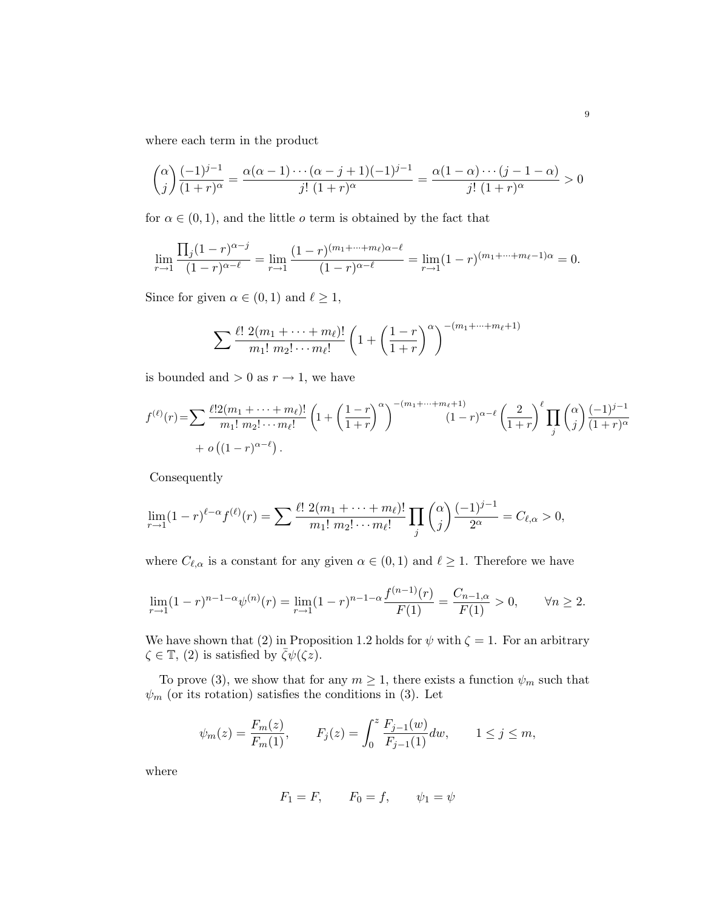where each term in the product

$$
{\alpha \choose j} \frac{(-1)^{j-1}}{(1+r)^\alpha} = \frac{\alpha(\alpha-1)\cdots(\alpha-j+1)(-1)^{j-1}}{j! (1+r)^\alpha} = \frac{\alpha(1-\alpha)\cdots(j-1-\alpha)}{j! (1+r)^\alpha} > 0
$$

for  $\alpha \in (0,1)$ , and the little *o* term is obtained by the fact that

$$
\lim_{r \to 1} \frac{\prod_j (1-r)^{\alpha-j}}{(1-r)^{\alpha-\ell}} = \lim_{r \to 1} \frac{(1-r)^{(m_1+\dots+m_\ell)\alpha-\ell}}{(1-r)^{\alpha-\ell}} = \lim_{r \to 1} (1-r)^{(m_1+\dots+m_\ell-1)\alpha} = 0.
$$

Since for given  $\alpha \in (0, 1)$  and  $\ell \ge 1$ ,

$$
\sum \frac{\ell! \ 2(m_1 + \dots + m_\ell)!}{m_1! \ m_2! \cdots m_\ell!} \left(1 + \left(\frac{1-r}{1+r}\right)^\alpha\right)^{-(m_1 + \dots + m_\ell+1)}
$$

is bounded and  $> 0$  as  $r \to 1$ , we have

$$
f^{(\ell)}(r) = \sum \frac{\ell! 2(m_1 + \dots + m_\ell)!}{m_1! \, m_2! \dots m_\ell!} \left( 1 + \left( \frac{1-r}{1+r} \right)^\alpha \right)^{-(m_1 + \dots + m_\ell+1)} (1-r)^{\alpha-\ell} \left( \frac{2}{1+r} \right)^\ell \prod_j \binom{\alpha}{j} \frac{(-1)^{j-1}}{(1+r)^\alpha} + o\left( (1-r)^{\alpha-\ell} \right).
$$

Consequently

$$
\lim_{r \to 1} (1-r)^{\ell-\alpha} f^{(\ell)}(r) = \sum \frac{\ell! \ 2(m_1 + \dots + m_\ell)!}{m_1! \ m_2! \cdots m_\ell!} \prod_j {\alpha \choose j} \frac{(-1)^{j-1}}{2^{\alpha}} = C_{\ell,\alpha} > 0,
$$

where  $C_{\ell,\alpha}$  is a constant for any given  $\alpha \in (0,1)$  and  $\ell \geq 1$ . Therefore we have

$$
\lim_{r \to 1} (1-r)^{n-1-\alpha} \psi^{(n)}(r) = \lim_{r \to 1} (1-r)^{n-1-\alpha} \frac{f^{(n-1)}(r)}{F(1)} = \frac{C_{n-1,\alpha}}{F(1)} > 0, \qquad \forall n \ge 2.
$$

We have shown that (2) in Proposition 1.2 holds for  $\psi$  with  $\zeta = 1$ . For an arbitrary  $\zeta \in \mathbb{T}$ , (2) is satisfied by  $\zeta \psi(\zeta z)$ .

To prove (3), we show that for any  $m \geq 1$ , there exists a function  $\psi_m$  such that  $\psi_m$  (or its rotation) satisfies the conditions in (3). Let

$$
\psi_m(z) = \frac{F_m(z)}{F_m(1)},
$$
\n $F_j(z) = \int_0^z \frac{F_{j-1}(w)}{F_{j-1}(1)} dw,$ \n $1 \le j \le m,$ 

where

$$
F_1 = F, \qquad F_0 = f, \qquad \psi_1 = \psi
$$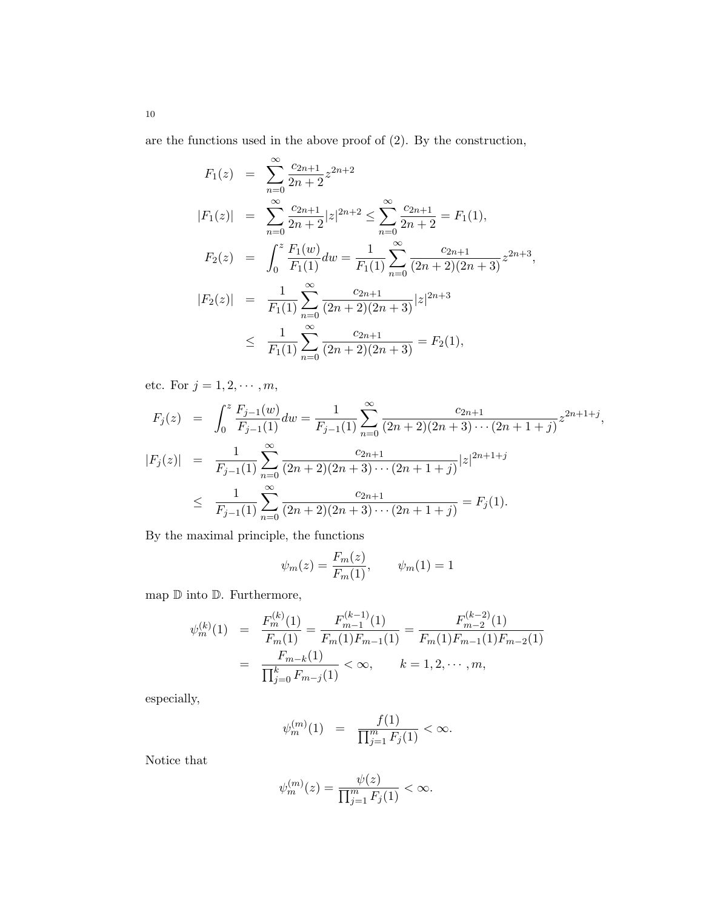are the functions used in the above proof of (2). By the construction,

$$
F_1(z) = \sum_{n=0}^{\infty} \frac{c_{2n+1}}{2n+2} z^{2n+2}
$$
  
\n
$$
|F_1(z)| = \sum_{n=0}^{\infty} \frac{c_{2n+1}}{2n+2} |z|^{2n+2} \le \sum_{n=0}^{\infty} \frac{c_{2n+1}}{2n+2} = F_1(1),
$$
  
\n
$$
F_2(z) = \int_0^z \frac{F_1(w)}{F_1(1)} dw = \frac{1}{F_1(1)} \sum_{n=0}^{\infty} \frac{c_{2n+1}}{(2n+2)(2n+3)} z^{2n+3},
$$
  
\n
$$
|F_2(z)| = \frac{1}{F_1(1)} \sum_{n=0}^{\infty} \frac{c_{2n+1}}{(2n+2)(2n+3)} |z|^{2n+3}
$$
  
\n
$$
\le \frac{1}{F_1(1)} \sum_{n=0}^{\infty} \frac{c_{2n+1}}{(2n+2)(2n+3)} = F_2(1),
$$

etc. For  $j = 1, 2, \cdots, m$ ,

$$
F_j(z) = \int_0^z \frac{F_{j-1}(w)}{F_{j-1}(1)} dw = \frac{1}{F_{j-1}(1)} \sum_{n=0}^\infty \frac{c_{2n+1}}{(2n+2)(2n+3)\cdots(2n+1+j)} z^{2n+1+j},
$$
  
\n
$$
|F_j(z)| = \frac{1}{F_{j-1}(1)} \sum_{n=0}^\infty \frac{c_{2n+1}}{(2n+2)(2n+3)\cdots(2n+1+j)} |z|^{2n+1+j}
$$
  
\n
$$
\leq \frac{1}{F_{j-1}(1)} \sum_{n=0}^\infty \frac{c_{2n+1}}{(2n+2)(2n+3)\cdots(2n+1+j)} = F_j(1).
$$

By the maximal principle, the functions

$$
\psi_m(z) = \frac{F_m(z)}{F_m(1)}, \qquad \psi_m(1) = 1
$$

map  $D$  into  $D$ . Furthermore,

$$
\psi_m^{(k)}(1) = \frac{F_m^{(k)}(1)}{F_m(1)} = \frac{F_{m-1}^{(k-1)}(1)}{F_m(1)F_{m-1}(1)} = \frac{F_{m-2}^{(k-2)}(1)}{F_m(1)F_{m-1}(1)F_{m-2}(1)}
$$

$$
= \frac{F_{m-k}(1)}{\prod_{j=0}^k F_{m-j}(1)} < \infty, \qquad k = 1, 2, \cdots, m,
$$

especially,

$$
\psi_m^{(m)}(1) = \frac{f(1)}{\prod_{j=1}^m F_j(1)} < \infty.
$$

Notice that

$$
\psi_m^{(m)}(z) = \frac{\psi(z)}{\prod_{j=1}^m F_j(1)} < \infty.
$$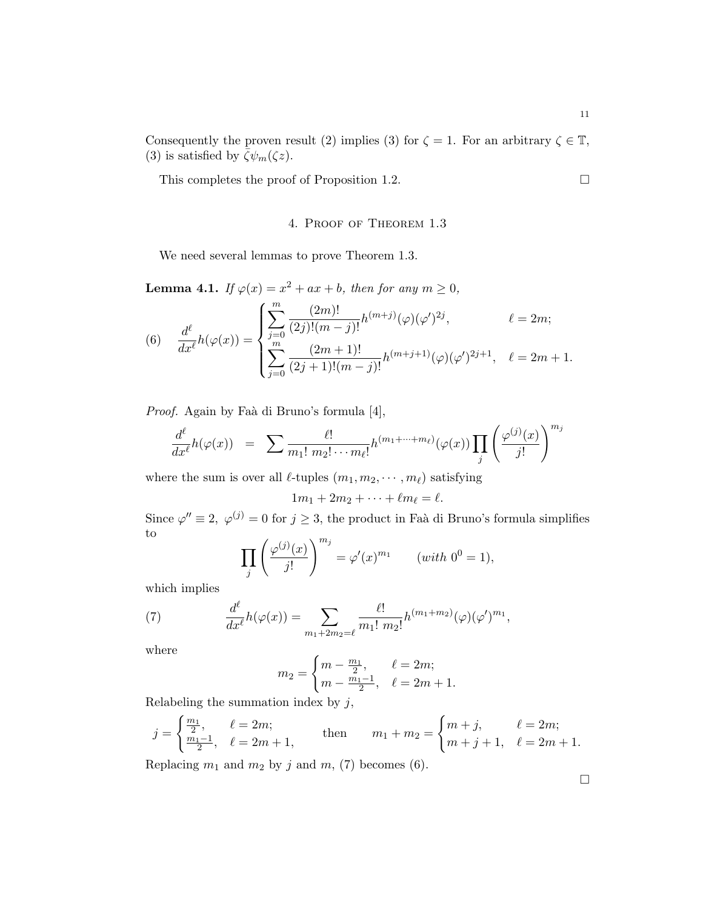Consequently the proven result (2) implies (3) for  $\zeta = 1$ . For an arbitrary  $\zeta \in \mathbb{T}$ , (3) is satisfied by  $\bar{\zeta}\psi_m(\zeta z)$ .

This completes the proof of Proposition 1.2.  $\Box$ 

### 4. Proof of Theorem 1.3

We need several lemmas to prove Theorem 1.3.

**Lemma 4.1.** If  $\varphi(x) = x^2 + ax + b$ , then for any  $m \ge 0$ ,  $\frac{1}{2}$ 

(6) 
$$
\frac{d^{\ell}}{dx^{\ell}}h(\varphi(x)) = \begin{cases} \sum_{j=0}^{m} \frac{(2m)!}{(2j)!(m-j)!} h^{(m+j)}(\varphi)(\varphi')^{2j}, & \ell = 2m; \\ \sum_{j=0}^{m} \frac{(2m+1)!}{(2j+1)!(m-j)!} h^{(m+j+1)}(\varphi)(\varphi')^{2j+1}, & \ell = 2m+1. \end{cases}
$$

Proof. Again by Faà di Bruno's formula [4],

$$
\frac{d^{\ell}}{dx^{\ell}}h(\varphi(x)) = \sum \frac{\ell!}{m_1! \; m_2! \cdots m_{\ell}!} h^{(m_1 + \cdots + m_{\ell})}(\varphi(x)) \prod_j \left(\frac{\varphi^{(j)}(x)}{j!}\right)^{m_j}
$$

where the sum is over all  $\ell$ -tuples  $(m_1, m_2, \dots, m_\ell)$  satisfying

$$
1m_1+2m_2+\cdots+\ell m_\ell=\ell.
$$

Since  $\varphi'' \equiv 2$ ,  $\varphi^{(j)} = 0$  for  $j \geq 3$ , the product in Faà di Bruno's formula simplifies to  $\int_{\Omega}$  (j)  $\binom{m_j}{m_j}$ 

$$
\prod_{j} \left( \frac{\varphi^{(j)}(x)}{j!} \right)^{m_j} = \varphi'(x)^{m_1} \qquad (with \ 0^0 = 1),
$$

which implies

(7) 
$$
\frac{d^{\ell}}{dx^{\ell}}h(\varphi(x)) = \sum_{m_1+2m_2=\ell} \frac{\ell!}{m_1! \, m_2!} h^{(m_1+m_2)}(\varphi)(\varphi')^{m_1},
$$

where

$$
m_2 = \begin{cases} m - \frac{m_1}{2}, & \ell = 2m; \\ m - \frac{m_1 - 1}{2}, & \ell = 2m + 1. \end{cases}
$$

Relabeling the summation index by  $j$ ,  $\frac{1}{2}$ 

$$
j = \begin{cases} \frac{m_1}{2}, & \ell = 2m; \\ \frac{m_1 - 1}{2}, & \ell = 2m + 1, \end{cases} \quad \text{then} \quad m_1 + m_2 = \begin{cases} m + j, & \ell = 2m; \\ m + j + 1, & \ell = 2m + 1. \end{cases}
$$

Replacing  $m_1$  and  $m_2$  by j and  $m$ , (7) becomes (6).

¤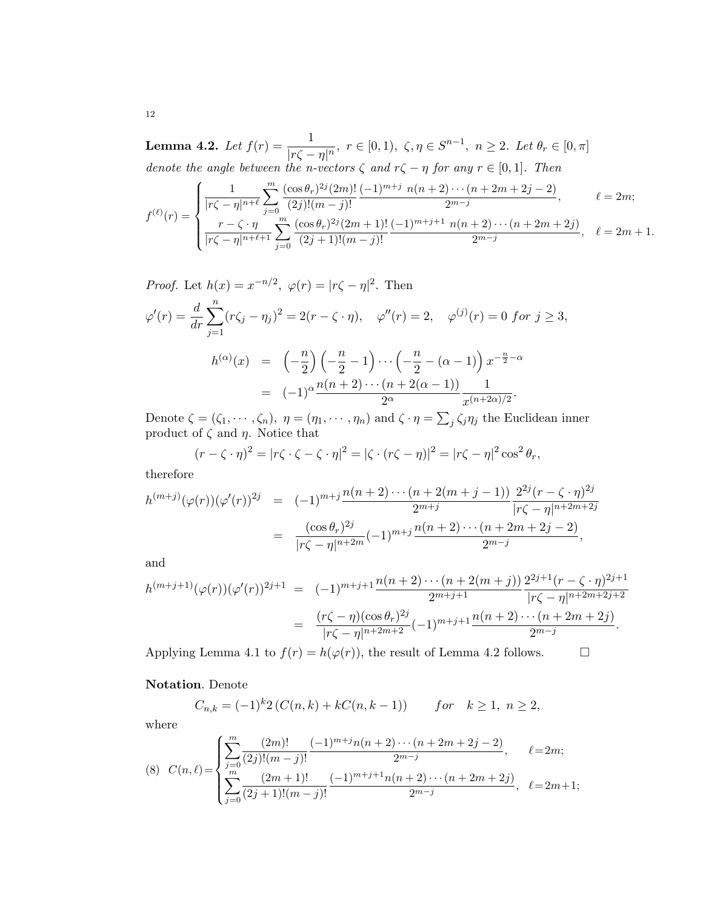Lemma 4.2. Let  $f(r) = \frac{1}{|r\zeta - \eta|^n}$ ,  $r \in [0, 1)$ ,  $\zeta, \eta \in S^{n-1}$ ,  $n \ge 2$ . Let  $\theta_r \in [0, \pi]$ denote the angle between the n-vectors  $\zeta$  and  $r\zeta - \eta$  for any  $r \in [0,1]$ . Then  $\overline{a}$ 

$$
f^{(\ell)}(r) = \begin{cases} \frac{1}{|r\zeta - \eta|^{n+\ell}} \sum_{j=0}^{m} \frac{(\cos \theta_r)^{2j} (2m)!}{(2j)!(m-j)!} \frac{(-1)^{m+j} n(n+2) \cdots (n+2m+2j-2)}{2^{m-j}}, & \ell = 2m; \\ \frac{r - \zeta \cdot \eta}{|r\zeta - \eta|^{n+\ell+1}} \sum_{j=0}^{m} \frac{(\cos \theta_r)^{2j} (2m+1)!}{(2j+1)!(m-j)!} \frac{(-1)^{m+j+1} n(n+2) \cdots (n+2m+2j)}{2^{m-j}}, & \ell = 2m+1. \end{cases}
$$

*Proof.* Let  $h(x) = x^{-n/2}$ ,  $\varphi(r) = |r\zeta - \eta|^2$ . Then  $\varphi'(r) = \frac{d}{dr}$  $\frac{n}{\sqrt{2}}$  $j=1$  $(r\zeta_j - \eta_j)^2 = 2(r - \zeta \cdot \eta), \quad \varphi''(r) = 2, \quad \varphi^{(j)}(r) = 0 \text{ for } j \ge 3,$  $h^{(\alpha)}(x) = \left(-\frac{n}{2}\right)$ 2  $\ddot{\phantom{1}}$  $-\frac{n}{\circ}$  $\frac{n}{2} - 1$  $\left( -\frac{n}{2} \right)$  $\frac{n}{2} - (\alpha - 1)\right)x^{-\frac{n}{2} - \alpha}$ =  $(-1)^{\alpha} \frac{n(n+2)\cdots(n+2(\alpha-1))}{2^{\alpha}}$ 1  $\frac{1}{x^{(n+2\alpha)/2}}$ .  $\overline{ }$ 

Denote  $\zeta = (\zeta_1, \cdots, \zeta_n), \eta = (\eta_1, \cdots, \eta_n)$  and  $\zeta \cdot \eta =$  $j \zeta_j \eta_j$  the Euclidean inner product of  $\zeta$  and  $\eta$ . Notice that

$$
(r - \zeta \cdot \eta)^2 = |r\zeta \cdot \zeta - \zeta \cdot \eta|^2 = |\zeta \cdot (r\zeta - \eta)|^2 = |r\zeta - \eta|^2 \cos^2 \theta_r,
$$

therefore

$$
h^{(m+j)}(\varphi(r))(\varphi'(r))^{2j} = (-1)^{m+j} \frac{n(n+2)\cdots(n+2(m+j-1))}{2^{m+j}} \frac{2^{2j}(r-\zeta\cdot\eta)^{2j}}{|r\zeta-\eta|^{n+2m+2j}}
$$
  
= 
$$
\frac{(\cos\theta_r)^{2j}}{|r\zeta-\eta|^{n+2m}}(-1)^{m+j} \frac{n(n+2)\cdots(n+2m+2j-2)}{2^{m-j}},
$$

and

$$
h^{(m+j+1)}(\varphi(r))(\varphi'(r))^{2j+1} = (-1)^{m+j+1} \frac{n(n+2)\cdots(n+2(m+j))}{2^{m+j+1}} \frac{2^{2j+1}(r-\zeta\cdot\eta)^{2j+1}}{|r\zeta-\eta|^{n+2m+2j+2}} \\
= \frac{(r\zeta-\eta)(\cos\theta_r)^{2j}}{|r\zeta-\eta|^{n+2m+2}} (-1)^{m+j+1} \frac{n(n+2)\cdots(n+2m+2j)}{2^{m-j}}.
$$

Applying Lemma 4.1 to  $f(r) = h(\varphi(r))$ , the result of Lemma 4.2 follows.  $\Box$ 

### Notation. Denote

$$
C_{n,k} = (-1)^{k} 2 \left( C(n,k) + kC(n,k-1) \right) \qquad for \quad k \ge 1, \ n \ge 2,
$$

where

(8) 
$$
C(n,\ell) = \begin{cases} \sum_{j=0}^{m} \frac{(2m)!}{(2j)!(m-j)!} \frac{(-1)^{m+j}n(n+2)\cdots(n+2m+2j-2)}{2^{m-j}}, & \ell = 2m; \\ \sum_{j=0}^{m} \frac{(2m+1)!}{(2j+1)!(m-j)!} \frac{(-1)^{m+j+1}n(n+2)\cdots(n+2m+2j)}{2^{m-j}}, & \ell = 2m+1; \end{cases}
$$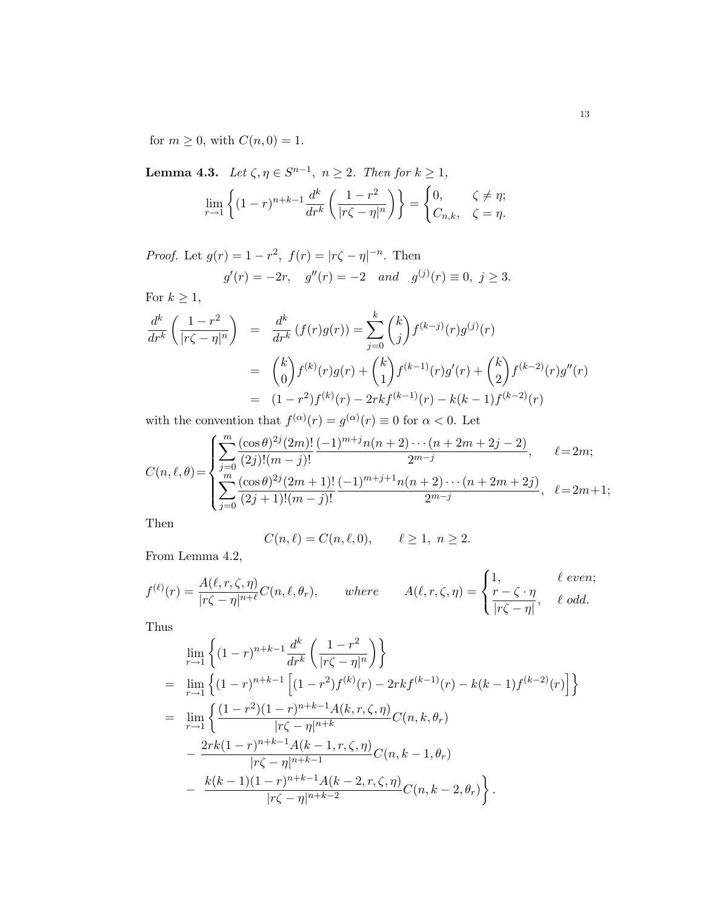for  $m \geq 0$ , with  $C(n, 0) = 1$ .

**Lemma 4.3.** Let  $\zeta, \eta \in S^{n-1}$ ,  $n \ge 2$ . Then for  $k \ge 1$ ,  $\lim_{r\to 1}$ ½  $(1 - r)^{n+k-1} \frac{d^k}{1 - r}$  $dr^k$  $\overline{a}$  $1 - r^2$  $|r\zeta-\eta|^n$  $\mathbf{v}$ =  $\overline{ }$ 0,  $\zeta \neq \eta$ ;  $C_{n,k}, \quad \zeta = \eta.$ 

*Proof.* Let  $g(r) = 1 - r^2$ ,  $f(r) = |r\zeta - \eta|^{-n}$ . Then

$$
g'(r) = -2r
$$
,  $g''(r) = -2$  and  $g^{(j)}(r) \equiv 0$ ,  $j \ge 3$ .

For  $k \geq 1$ ,

$$
\frac{d^k}{dr^k} \left( \frac{1 - r^2}{|r\zeta - \eta|^n} \right) = \frac{d^k}{dr^k} \left( f(r)g(r) \right) = \sum_{j=0}^k {k \choose j} f^{(k-j)}(r)g^{(j)}(r)
$$
\n
$$
= {k \choose 0} f^{(k)}(r)g(r) + {k \choose 1} f^{(k-1)}(r)g'(r) + {k \choose 2} f^{(k-2)}(r)g''(r)
$$
\n
$$
= (1 - r^2)f^{(k)}(r) - 2rk f^{(k-1)}(r) - k(k-1)f^{(k-2)}(r)
$$

with the convention that  $f^{(\alpha)}(r) = g^{(\alpha)}(r) \equiv 0$  for  $\alpha < 0$ . Let  $\overline{a}$ 

$$
C(n,\ell,\theta) = \begin{cases} \sum_{j=0}^{m} \frac{(\cos\theta)^{2j} (2m)!}{(2j)!(m-j)!} \frac{(-1)^{m+j} n(n+2)\cdots(n+2m+2j-2)}{2^{m-j}}, & \ell = 2m; \\ \sum_{j=0}^{m} \frac{(\cos\theta)^{2j} (2m+1)!}{(2j+1)!(m-j)!} \frac{(-1)^{m+j+1} n(n+2)\cdots(n+2m+2j)}{2^{m-j}}, & \ell = 2m+1; \end{cases}
$$

Then

$$
C(n,\ell) = C(n,\ell,0), \qquad \ell \ge 1, \ n \ge 2.
$$

From Lemma 4.2,

$$
f^{(\ell)}(r) = \frac{A(\ell, r, \zeta, \eta)}{|r\zeta - \eta|^{n+\ell}} C(n, \ell, \theta_r), \quad where \quad A(\ell, r, \zeta, \eta) = \begin{cases} 1, & \ell \text{ even;} \\ \frac{r - \zeta \cdot \eta}{|r\zeta - \eta|}, & \ell \text{ odd.} \end{cases}
$$

Thus

$$
\lim_{r \to 1} \left\{ (1-r)^{n+k-1} \frac{d^k}{dr^k} \left( \frac{1-r^2}{|r\zeta - \eta|^n} \right) \right\}
$$
\n
$$
= \lim_{r \to 1} \left\{ (1-r)^{n+k-1} \left[ (1-r^2)f^{(k)}(r) - 2rkf^{(k-1)}(r) - k(k-1)f^{(k-2)}(r) \right] \right\}
$$
\n
$$
= \lim_{r \to 1} \left\{ \frac{(1-r^2)(1-r)^{n+k-1}A(k,r,\zeta,\eta)}{|r\zeta - \eta|^{n+k}} C(n,k,\theta_r) - \frac{2rk(1-r)^{n+k-1}A(k-1,r,\zeta,\eta)}{|r\zeta - \eta|^{n+k-1}} C(n,k-1,\theta_r) - \frac{k(k-1)(1-r)^{n+k-1}A(k-2,r,\zeta,\eta)}{|r\zeta - \eta|^{n+k-2}} C(n,k-2,\theta_r) \right\}.
$$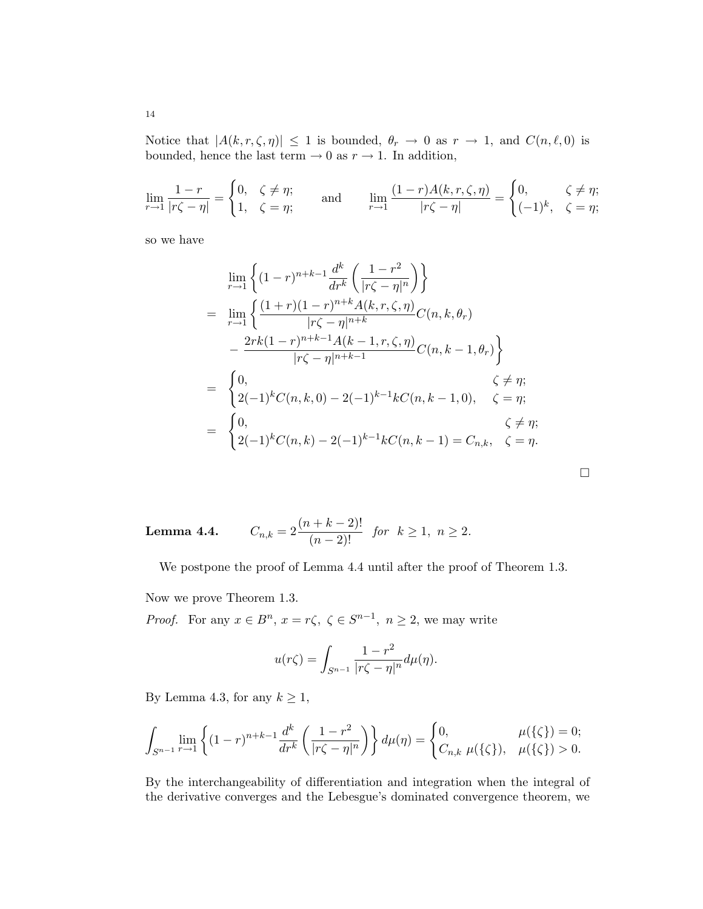Notice that  $|A(k, r, \zeta, \eta)| \leq 1$  is bounded,  $\theta_r \to 0$  as  $r \to 1$ , and  $C(n, \ell, 0)$  is bounded, hence the last term  $\rightarrow 0$  as  $r \rightarrow 1$ . In addition,

$$
\lim_{r \to 1} \frac{1 - r}{|r\zeta - \eta|} = \begin{cases} 0, & \zeta \neq \eta; \\ 1, & \zeta = \eta; \end{cases} \quad \text{and} \quad \lim_{r \to 1} \frac{(1 - r)A(k, r, \zeta, \eta)}{|r\zeta - \eta|} = \begin{cases} 0, & \zeta \neq \eta; \\ (-1)^k, & \zeta = \eta; \end{cases}
$$

so we have

$$
\lim_{r \to 1} \left\{ (1-r)^{n+k-1} \frac{d^k}{dr^k} \left( \frac{1-r^2}{|r\zeta - \eta|^n} \right) \right\}
$$
\n
$$
= \lim_{r \to 1} \left\{ \frac{(1+r)(1-r)^{n+k} A(k, r, \zeta, \eta)}{|r\zeta - \eta|^{n+k}} C(n, k, \theta_r) - \frac{2rk(1-r)^{n+k-1} A(k-1, r, \zeta, \eta)}{|r\zeta - \eta|^{n+k-1}} C(n, k-1, \theta_r) \right\}
$$
\n
$$
= \begin{cases}\n0, & \zeta \neq \eta; \\
2(-1)^k C(n, k, 0) - 2(-1)^{k-1} k C(n, k-1, 0), & \zeta = \eta; \\
2(-1)^k C(n, k) - 2(-1)^{k-1} k C(n, k-1) = C_{n, k}, & \zeta = \eta.\n\end{cases}
$$

Lemma  $4.4$ .  $\frac{(n+k-2)!}{(n-2)!}$  for  $k \ge 1$ ,  $n \ge 2$ .

We postpone the proof of Lemma 4.4 until after the proof of Theorem 1.3.

Now we prove Theorem 1.3.

*Proof.* For any  $x \in B^n$ ,  $x = r\zeta$ ,  $\zeta \in S^{n-1}$ ,  $n \ge 2$ , we may write

$$
u(r\zeta) = \int_{S^{n-1}} \frac{1-r^2}{|r\zeta - \eta|^n} d\mu(\eta).
$$

By Lemma 4.3, for any  $k \geq 1$ ,

$$
\int_{S^{n-1}} \lim_{r \to 1} \left\{ (1-r)^{n+k-1} \frac{d^k}{dr^k} \left( \frac{1-r^2}{|r\zeta - \eta|^n} \right) \right\} d\mu(\eta) = \begin{cases} 0, & \mu(\{\zeta\}) = 0; \\ C_{n,k} \mu(\{\zeta\}), & \mu(\{\zeta\}) > 0. \end{cases}
$$

By the interchangeability of differentiation and integration when the integral of the derivative converges and the Lebesgue's dominated convergence theorem, we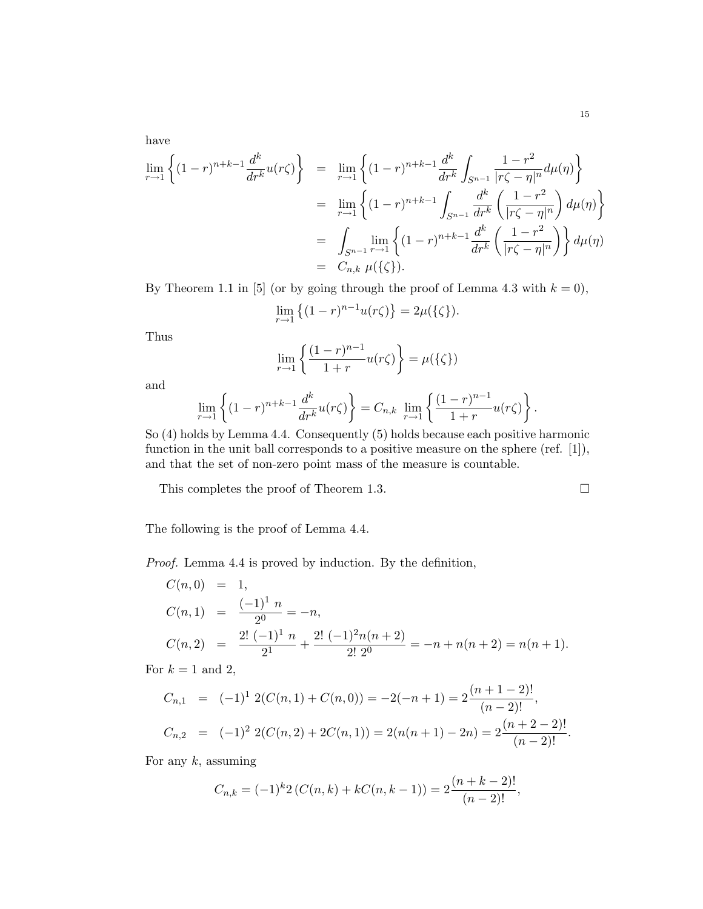have

$$
\lim_{r \to 1} \left\{ (1-r)^{n+k-1} \frac{d^k}{dr^k} u(r\zeta) \right\} = \lim_{r \to 1} \left\{ (1-r)^{n+k-1} \frac{d^k}{dr^k} \int_{S^{n-1}} \frac{1-r^2}{|r\zeta - \eta|^n} d\mu(\eta) \right\}
$$
\n
$$
= \lim_{r \to 1} \left\{ (1-r)^{n+k-1} \int_{S^{n-1}} \frac{d^k}{dr^k} \left( \frac{1-r^2}{|r\zeta - \eta|^n} \right) d\mu(\eta) \right\}
$$
\n
$$
= \int_{S^{n-1}} \lim_{r \to 1} \left\{ (1-r)^{n+k-1} \frac{d^k}{dr^k} \left( \frac{1-r^2}{|r\zeta - \eta|^n} \right) \right\} d\mu(\eta)
$$
\n
$$
= C_{n,k} \mu(\{\zeta\}).
$$

By Theorem 1.1 in [5] (or by going through the proof of Lemma 4.3 with  $k = 0$ ),

$$
\lim_{r \to 1} \left\{ (1 - r)^{n-1} u(r\zeta) \right\} = 2\mu(\{\zeta\}).
$$

Thus

$$
\lim_{r \to 1} \left\{ \frac{(1-r)^{n-1}}{1+r} u(r\zeta) \right\} = \mu(\{\zeta\})
$$

and

$$
\lim_{r \to 1} \left\{ (1-r)^{n+k-1} \frac{d^k}{dr^k} u(r\zeta) \right\} = C_{n,k} \lim_{r \to 1} \left\{ \frac{(1-r)^{n-1}}{1+r} u(r\zeta) \right\}.
$$

So (4) holds by Lemma 4.4. Consequently (5) holds because each positive harmonic function in the unit ball corresponds to a positive measure on the sphere (ref. [1]), and that the set of non-zero point mass of the measure is countable.

This completes the proof of Theorem 1.3.  $\Box$ 

The following is the proof of Lemma 4.4.

Proof. Lemma 4.4 is proved by induction. By the definition,

$$
C(n,0) = 1,
$$
  
\n
$$
C(n,1) = \frac{(-1)^{1} n}{2^{0}} = -n,
$$
  
\n
$$
C(n,2) = \frac{2! (-1)^{1} n}{2^{1}} + \frac{2! (-1)^{2} n(n+2)}{2! 2^{0}} = -n + n(n+2) = n(n+1).
$$

For  $k = 1$  and 2,

$$
C_{n,1} = (-1)^{1} 2(C(n,1) + C(n,0)) = -2(-n+1) = 2\frac{(n+1-2)!}{(n-2)!},
$$
  
\n
$$
C_{n,2} = (-1)^{2} 2(C(n,2) + 2C(n,1)) = 2(n(n+1) - 2n) = 2\frac{(n+2-2)!}{(n-2)!}.
$$

For any  $k$ , assuming

$$
C_{n,k} = (-1)^{k} 2 \left( C(n,k) + kC(n,k-1) \right) = 2 \frac{(n+k-2)!}{(n-2)!},
$$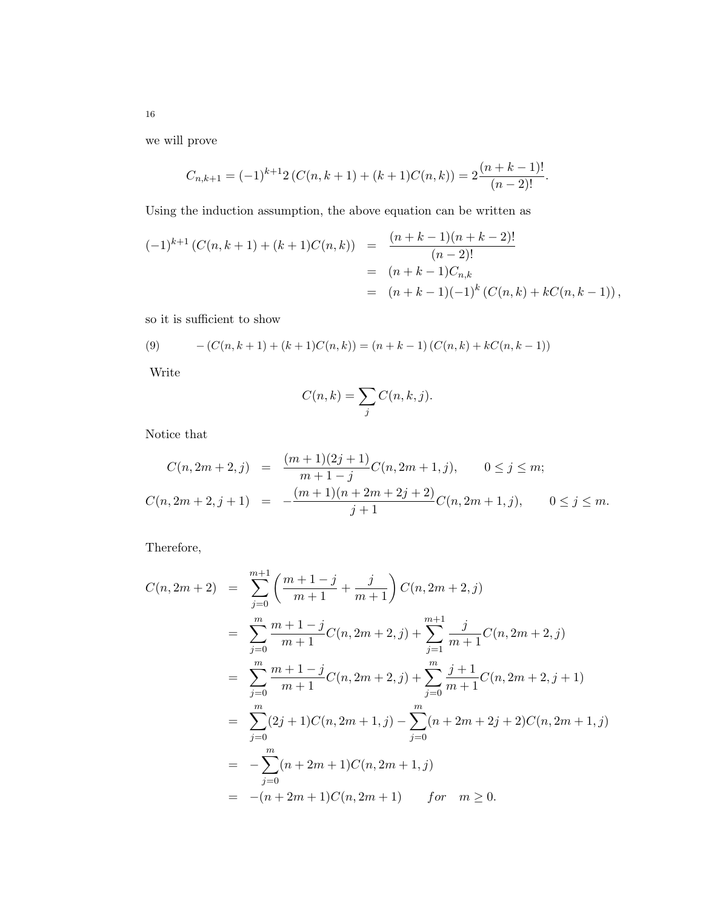we will prove

$$
C_{n,k+1} = (-1)^{k+1} 2 \left( C(n,k+1) + (k+1)C(n,k) \right) = 2 \frac{(n+k-1)!}{(n-2)!}.
$$

Using the induction assumption, the above equation can be written as

$$
(-1)^{k+1} (C(n,k+1) + (k+1)C(n,k)) = \frac{(n+k-1)(n+k-2)!}{(n-2)!}
$$
  
=  $(n+k-1)C_{n,k}$   
=  $(n+k-1)(-1)^k (C(n,k) + kC(n,k-1)),$ 

so it is sufficient to show

(9) 
$$
- (C(n,k+1) + (k+1)C(n,k)) = (n+k-1) (C(n,k) + kC(n,k-1))
$$

Write

$$
C(n,k) = \sum_{j} C(n,k,j).
$$

Notice that

$$
C(n, 2m + 2, j) = \frac{(m+1)(2j+1)}{m+1-j}C(n, 2m + 1, j), \qquad 0 \le j \le m;
$$
  

$$
C(n, 2m + 2, j + 1) = -\frac{(m+1)(n+2m+2j+2)}{j+1}C(n, 2m + 1, j), \qquad 0 \le j \le m.
$$

Therefore,

$$
C(n, 2m + 2) = \sum_{j=0}^{m+1} \left( \frac{m+1-j}{m+1} + \frac{j}{m+1} \right) C(n, 2m + 2, j)
$$
  
\n
$$
= \sum_{j=0}^{m} \frac{m+1-j}{m+1} C(n, 2m + 2, j) + \sum_{j=1}^{m+1} \frac{j}{m+1} C(n, 2m + 2, j)
$$
  
\n
$$
= \sum_{j=0}^{m} \frac{m+1-j}{m+1} C(n, 2m + 2, j) + \sum_{j=0}^{m} \frac{j+1}{m+1} C(n, 2m + 2, j + 1)
$$
  
\n
$$
= \sum_{j=0}^{m} (2j+1) C(n, 2m + 1, j) - \sum_{j=0}^{m} (n + 2m + 2j + 2) C(n, 2m + 1, j)
$$
  
\n
$$
= -\sum_{j=0}^{m} (n + 2m + 1) C(n, 2m + 1, j)
$$
  
\n
$$
= -(n + 2m + 1) C(n, 2m + 1) \quad \text{for} \quad m \ge 0.
$$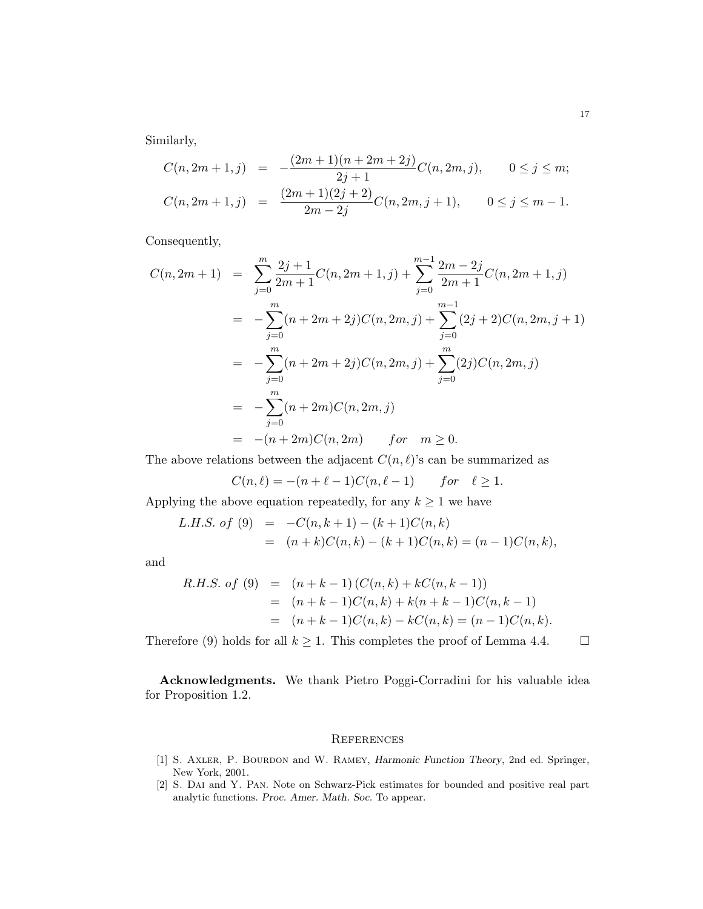Similarly,

$$
C(n, 2m + 1, j) = -\frac{(2m + 1)(n + 2m + 2j)}{2j + 1}C(n, 2m, j), \qquad 0 \le j \le m;
$$
  

$$
C(n, 2m + 1, j) = \frac{(2m + 1)(2j + 2)}{2m - 2j}C(n, 2m, j + 1), \qquad 0 \le j \le m - 1.
$$

Consequently,

$$
C(n, 2m + 1) = \sum_{j=0}^{m} \frac{2j+1}{2m+1} C(n, 2m + 1, j) + \sum_{j=0}^{m-1} \frac{2m-2j}{2m+1} C(n, 2m + 1, j)
$$
  
= 
$$
-\sum_{j=0}^{m} (n + 2m + 2j) C(n, 2m, j) + \sum_{j=0}^{m-1} (2j + 2) C(n, 2m, j + 1)
$$
  
= 
$$
-\sum_{j=0}^{m} (n + 2m + 2j) C(n, 2m, j) + \sum_{j=0}^{m} (2j) C(n, 2m, j)
$$
  
= 
$$
-\sum_{j=0}^{m} (n + 2m) C(n, 2m, j)
$$
  
= 
$$
-(n + 2m) C(n, 2m) \qquad \text{for} \quad m \ge 0.
$$

The above relations between the adjacent  $C(n, \ell)$ 's can be summarized as

$$
C(n,\ell) = -(n+\ell-1)C(n,\ell-1) \quad for \quad \ell \ge 1.
$$

Applying the above equation repeatedly, for any  $k\geq 1$  we have

L.H.S. of (9) = 
$$
-C(n, k+1) - (k+1)C(n, k)
$$
  
 =  $(n+k)C(n, k) - (k+1)C(n, k) = (n-1)C(n, k),$ 

and

R.H.S. of (9) = 
$$
(n+k-1) (C(n,k) + kC(n,k-1))
$$
  
\n=  $(n+k-1)C(n,k) + k(n+k-1)C(n,k-1)$   
\n=  $(n+k-1)C(n,k) - kC(n,k) = (n-1)C(n,k).$ 

Therefore (9) holds for all  $k \geq 1$ . This completes the proof of Lemma 4.4.  $\Box$ 

Acknowledgments. We thank Pietro Poggi-Corradini for his valuable idea for Proposition 1.2.

### **REFERENCES**

- [1] S. Axler, P. Bourdon and W. Ramey, Harmonic Function Theory, 2nd ed. Springer, New York, 2001.
- [2] S. Dai and Y. Pan. Note on Schwarz-Pick estimates for bounded and positive real part analytic functions. Proc. Amer. Math. Soc. To appear.